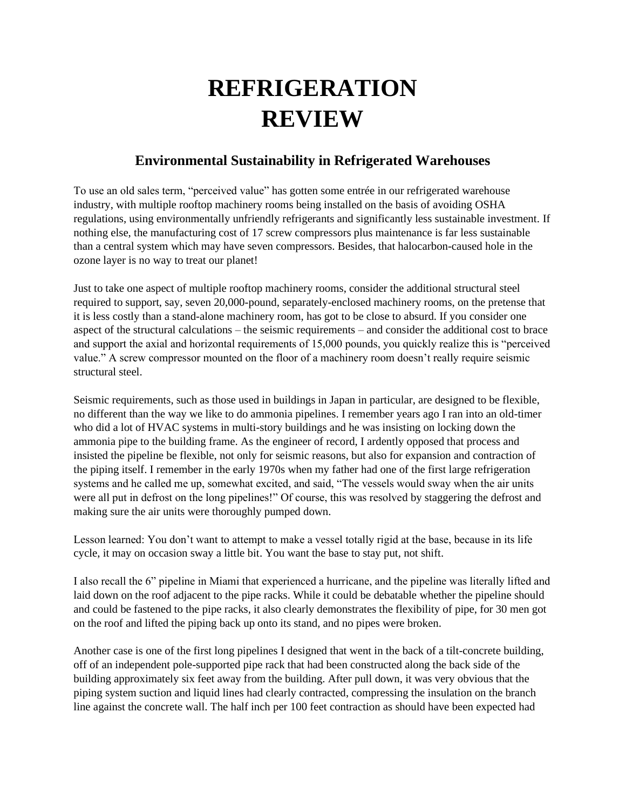## **REFRIGERATION REVIEW**

## **Environmental Sustainability in Refrigerated Warehouses**

To use an old sales term, "perceived value" has gotten some entrée in our refrigerated warehouse industry, with multiple rooftop machinery rooms being installed on the basis of avoiding OSHA regulations, using environmentally unfriendly refrigerants and significantly less sustainable investment. If nothing else, the manufacturing cost of 17 screw compressors plus maintenance is far less sustainable than a central system which may have seven compressors. Besides, that halocarbon-caused hole in the ozone layer is no way to treat our planet!

Just to take one aspect of multiple rooftop machinery rooms, consider the additional structural steel required to support, say, seven 20,000-pound, separately-enclosed machinery rooms, on the pretense that it is less costly than a stand-alone machinery room, has got to be close to absurd. If you consider one aspect of the structural calculations – the seismic requirements – and consider the additional cost to brace and support the axial and horizontal requirements of 15,000 pounds, you quickly realize this is "perceived value." A screw compressor mounted on the floor of a machinery room doesn't really require seismic structural steel.

Seismic requirements, such as those used in buildings in Japan in particular, are designed to be flexible, no different than the way we like to do ammonia pipelines. I remember years ago I ran into an old-timer who did a lot of HVAC systems in multi-story buildings and he was insisting on locking down the ammonia pipe to the building frame. As the engineer of record, I ardently opposed that process and insisted the pipeline be flexible, not only for seismic reasons, but also for expansion and contraction of the piping itself. I remember in the early 1970s when my father had one of the first large refrigeration systems and he called me up, somewhat excited, and said, "The vessels would sway when the air units were all put in defrost on the long pipelines!" Of course, this was resolved by staggering the defrost and making sure the air units were thoroughly pumped down.

Lesson learned: You don't want to attempt to make a vessel totally rigid at the base, because in its life cycle, it may on occasion sway a little bit. You want the base to stay put, not shift.

I also recall the 6" pipeline in Miami that experienced a hurricane, and the pipeline was literally lifted and laid down on the roof adjacent to the pipe racks. While it could be debatable whether the pipeline should and could be fastened to the pipe racks, it also clearly demonstrates the flexibility of pipe, for 30 men got on the roof and lifted the piping back up onto its stand, and no pipes were broken.

Another case is one of the first long pipelines I designed that went in the back of a tilt-concrete building, off of an independent pole-supported pipe rack that had been constructed along the back side of the building approximately six feet away from the building. After pull down, it was very obvious that the piping system suction and liquid lines had clearly contracted, compressing the insulation on the branch line against the concrete wall. The half inch per 100 feet contraction as should have been expected had